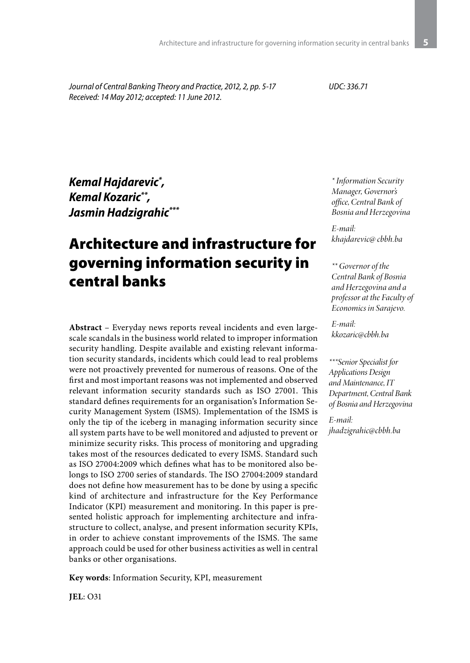*Journal of Central Banking Theory and Practice, 2012, 2, pp. 5-17 Received: 14 May 2012; accepted: 11 June 2012.*

*UDC: 336.71*

*Kemal Hajdarevic\* , Kemal Kozaric\*\*, Jasmin Hadzigrahic\*\*\**

# Architecture and infrastructure for governing information security in central banks

**Abstract** – Everyday news reports reveal incidents and even largescale scandals in the business world related to improper information security handling. Despite available and existing relevant information security standards, incidents which could lead to real problems were not proactively prevented for numerous of reasons. One of the first and most important reasons was not implemented and observed relevant information security standards such as ISO 27001. This standard defines requirements for an organisation's Information Security Management System (ISMS). Implementation of the ISMS is only the tip of the iceberg in managing information security since all system parts have to be well monitored and adjusted to prevent or minimize security risks. This process of monitoring and upgrading takes most of the resources dedicated to every ISMS. Standard such as ISO 27004:2009 which defines what has to be monitored also belongs to ISO 2700 series of standards. The ISO 27004:2009 standard does not define how measurement has to be done by using a specific kind of architecture and infrastructure for the Key Performance Indicator (KPI) measurement and monitoring. In this paper is presented holistic approach for implementing architecture and infrastructure to collect, analyse, and present information security KPIs, in order to achieve constant improvements of the ISMS. The same approach could be used for other business activities as well in central banks or other organisations.

**Key words**: Information Security, KPI, measurement

*\* Information Security Manager, Governor's office, Central Bank of Bosnia and Herzegovina*

*E-mail: khajdarevic@ cbbh.ba*

#### *\*\* Governor of the Central Bank of Bosnia and Herzegovina and a professor at the Faculty of Economics in Sarajevo.*

*E-mail: kkozaric@cbbh.ba*

*\*\*\*Senior Specialist for Applications Design and Maintenance, IT Department, Central Bank of Bosnia and Herzegovina*

*E-mail: jhadzigrahic@cbbh.ba*

**JEL**: O31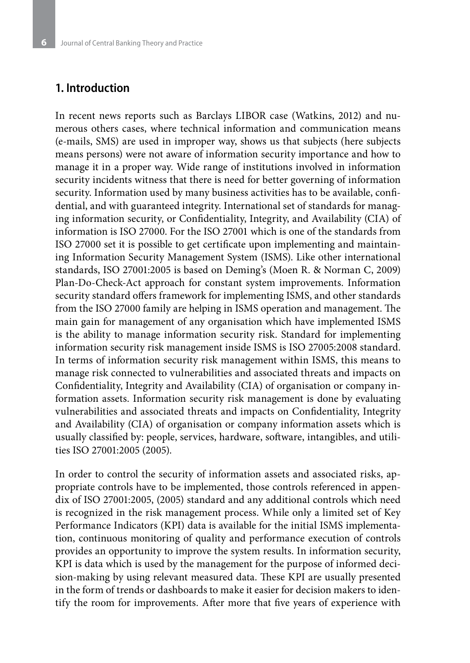#### **1. Introduction**

In recent news reports such as Barclays LIBOR case (Watkins, 2012) and numerous others cases, where technical information and communication means (e-mails, SMS) are used in improper way, shows us that subjects (here subjects means persons) were not aware of information security importance and how to manage it in a proper way. Wide range of institutions involved in information security incidents witness that there is need for better governing of information security. Information used by many business activities has to be available, confidential, and with guaranteed integrity. International set of standards for managing information security, or Confidentiality, Integrity, and Availability (CIA) of information is ISO 27000. For the ISO 27001 which is one of the standards from ISO 27000 set it is possible to get certificate upon implementing and maintaining Information Security Management System (ISMS). Like other international standards, ISO 27001:2005 is based on Deming's (Moen R. & Norman C, 2009) Plan-Do-Check-Act approach for constant system improvements. Information security standard offers framework for implementing ISMS, and other standards from the ISO 27000 family are helping in ISMS operation and management. The main gain for management of any organisation which have implemented ISMS is the ability to manage information security risk. Standard for implementing information security risk management inside ISMS is ISO 27005:2008 standard. In terms of information security risk management within ISMS, this means to manage risk connected to vulnerabilities and associated threats and impacts on Confidentiality, Integrity and Availability (CIA) of organisation or company information assets. Information security risk management is done by evaluating vulnerabilities and associated threats and impacts on Confidentiality, Integrity and Availability (CIA) of organisation or company information assets which is usually classified by: people, services, hardware, software, intangibles, and utilities ISO 27001:2005 (2005).

In order to control the security of information assets and associated risks, appropriate controls have to be implemented, those controls referenced in appendix of ISO 27001:2005, (2005) standard and any additional controls which need is recognized in the risk management process. While only a limited set of Key Performance Indicators (KPI) data is available for the initial ISMS implementation, continuous monitoring of quality and performance execution of controls provides an opportunity to improve the system results. In information security, KPI is data which is used by the management for the purpose of informed decision-making by using relevant measured data. These KPI are usually presented in the form of trends or dashboards to make it easier for decision makers to identify the room for improvements. After more that five years of experience with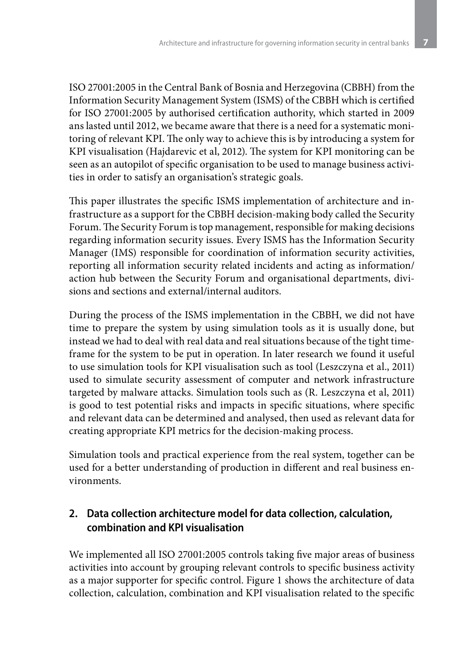ISO 27001:2005 in the Central Bank of Bosnia and Herzegovina (CBBH) from the Information Security Management System (ISMS) of the CBBH which is certified for ISO 27001:2005 by authorised certification authority, which started in 2009 ans lasted until 2012, we became aware that there is a need for a systematic monitoring of relevant KPI. The only way to achieve this is by introducing a system for KPI visualisation (Hajdarevic et al, 2012). The system for KPI monitoring can be seen as an autopilot of specific organisation to be used to manage business activities in order to satisfy an organisation's strategic goals.

This paper illustrates the specific ISMS implementation of architecture and infrastructure as a support for the CBBH decision-making body called the Security Forum. The Security Forum is top management, responsible for making decisions regarding information security issues. Every ISMS has the Information Security Manager (IMS) responsible for coordination of information security activities, reporting all information security related incidents and acting as information/ action hub between the Security Forum and organisational departments, divisions and sections and external/internal auditors.

During the process of the ISMS implementation in the CBBH, we did not have time to prepare the system by using simulation tools as it is usually done, but instead we had to deal with real data and real situations because of the tight timeframe for the system to be put in operation. In later research we found it useful to use simulation tools for KPI visualisation such as tool (Leszczyna et al., 2011) used to simulate security assessment of computer and network infrastructure targeted by malware attacks. Simulation tools such as (R. Leszczyna et al, 2011) is good to test potential risks and impacts in specific situations, where specific and relevant data can be determined and analysed, then used as relevant data for creating appropriate KPI metrics for the decision-making process.

Simulation tools and practical experience from the real system, together can be used for a better understanding of production in different and real business environments.

# **2. Data collection architecture model for data collection, calculation, combination and KPI visualisation**

We implemented all ISO 27001:2005 controls taking five major areas of business activities into account by grouping relevant controls to specific business activity as a major supporter for specific control. Figure 1 shows the architecture of data collection, calculation, combination and KPI visualisation related to the specific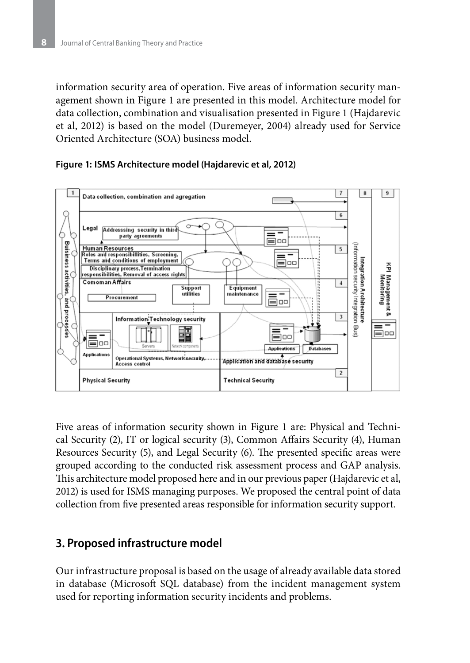information security area of operation. Five areas of information security management shown in Figure 1 are presented in this model. Architecture model for data collection, combination and visualisation presented in Figure 1 (Hajdarevic et al, 2012) is based on the model (Duremeyer, 2004) already used for Service Oriented Architecture (SOA) business model.



#### **Figure 1: ISMS Architecture model (Hajdarevic et al, 2012)**

Five areas of information security shown in Figure 1 are: Physical and Technical Security (2), IT or logical security (3), Common Affairs Security (4), Human Resources Security (5), and Legal Security (6). The presented specific areas were grouped according to the conducted risk assessment process and GAP analysis. This architecture model proposed here and in our previous paper (Hajdarevic et al, 2012) is used for ISMS managing purposes. We proposed the central point of data collection from five presented areas responsible for information security support.

## **3. Proposed infrastructure model**

Our infrastructure proposal is based on the usage of already available data stored in database (Microsoft SQL database) from the incident management system used for reporting information security incidents and problems.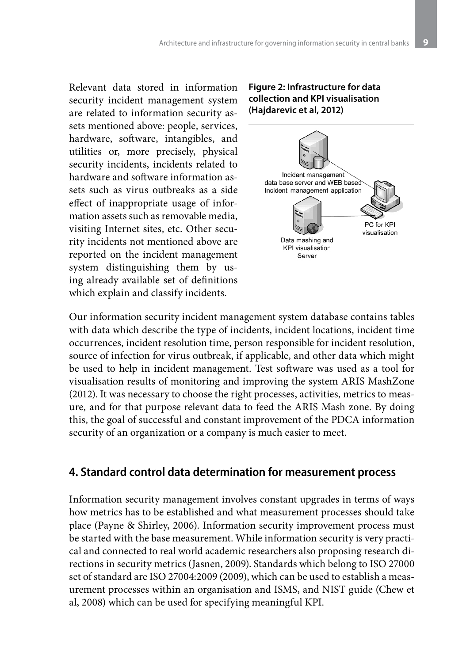Relevant data stored in information security incident management system are related to information security assets mentioned above: people, services, hardware, software, intangibles, and utilities or, more precisely, physical security incidents, incidents related to hardware and software information assets such as virus outbreaks as a side effect of inappropriate usage of information assets such as removable media, visiting Internet sites, etc. Other security incidents not mentioned above are reported on the incident management system distinguishing them by using already available set of definitions which explain and classify incidents.

#### **Figure 2: Infrastructure for data collection and KPI visualisation (Hajdarevic et al, 2012)**



Our information security incident management system database contains tables with data which describe the type of incidents, incident locations, incident time occurrences, incident resolution time, person responsible for incident resolution, source of infection for virus outbreak, if applicable, and other data which might be used to help in incident management. Test software was used as a tool for visualisation results of monitoring and improving the system ARIS MashZone (2012). It was necessary to choose the right processes, activities, metrics to measure, and for that purpose relevant data to feed the ARIS Mash zone. By doing this, the goal of successful and constant improvement of the PDCA information security of an organization or a company is much easier to meet.

## **4. Standard control data determination for measurement process**

Information security management involves constant upgrades in terms of ways how metrics has to be established and what measurement processes should take place (Payne & Shirley, 2006). Information security improvement process must be started with the base measurement. While information security is very practical and connected to real world academic researchers also proposing research directions in security metrics (Jasnen, 2009). Standards which belong to ISO 27000 set of standard are ISO 27004:2009 (2009), which can be used to establish a measurement processes within an organisation and ISMS, and NIST guide (Chew et al, 2008) which can be used for specifying meaningful KPI.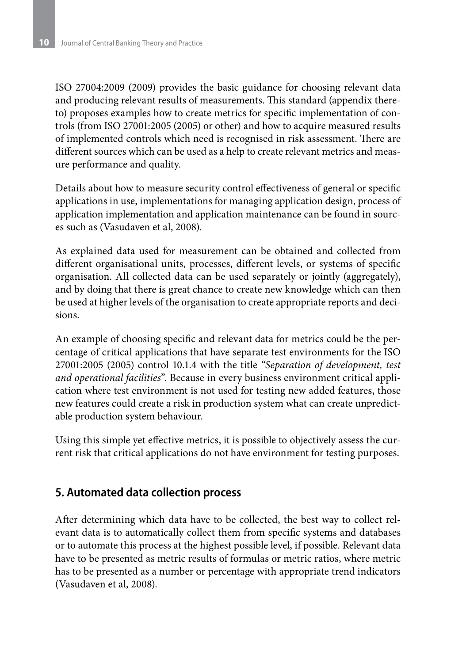ISO 27004:2009 (2009) provides the basic guidance for choosing relevant data and producing relevant results of measurements. This standard (appendix thereto) proposes examples how to create metrics for specific implementation of controls (from ISO 27001:2005 (2005) or other) and how to acquire measured results of implemented controls which need is recognised in risk assessment. There are different sources which can be used as a help to create relevant metrics and measure performance and quality.

Details about how to measure security control effectiveness of general or specific applications in use, implementations for managing application design, process of application implementation and application maintenance can be found in sources such as (Vasudaven et al, 2008).

As explained data used for measurement can be obtained and collected from different organisational units, processes, different levels, or systems of specific organisation. All collected data can be used separately or jointly (aggregately), and by doing that there is great chance to create new knowledge which can then be used at higher levels of the organisation to create appropriate reports and decisions.

An example of choosing specific and relevant data for metrics could be the percentage of critical applications that have separate test environments for the ISO 27001:2005 (2005) control 10.1.4 with the title *"Separation of development, test and operational facilities*". Because in every business environment critical application where test environment is not used for testing new added features, those new features could create a risk in production system what can create unpredictable production system behaviour.

Using this simple yet effective metrics, it is possible to objectively assess the current risk that critical applications do not have environment for testing purposes.

# **5. Automated data collection process**

After determining which data have to be collected, the best way to collect relevant data is to automatically collect them from specific systems and databases or to automate this process at the highest possible level, if possible. Relevant data have to be presented as metric results of formulas or metric ratios, where metric has to be presented as a number or percentage with appropriate trend indicators (Vasudaven et al, 2008).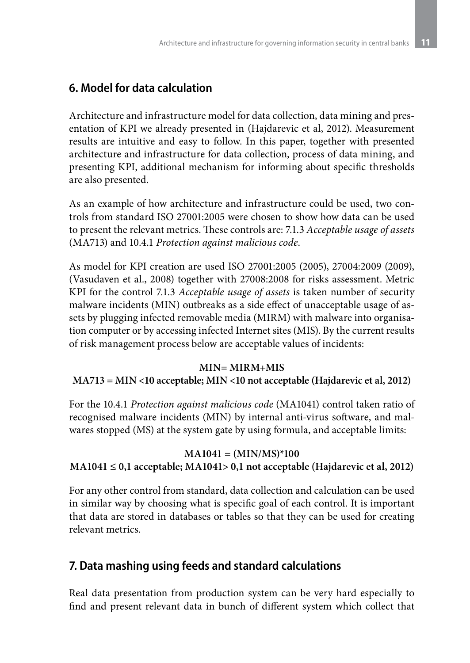# **6. Model for data calculation**

Architecture and infrastructure model for data collection, data mining and presentation of KPI we already presented in (Hajdarevic et al, 2012). Measurement results are intuitive and easy to follow. In this paper, together with presented architecture and infrastructure for data collection, process of data mining, and presenting KPI, additional mechanism for informing about specific thresholds are also presented.

As an example of how architecture and infrastructure could be used, two controls from standard ISO 27001:2005 were chosen to show how data can be used to present the relevant metrics. These controls are: 7.1.3 *Acceptable usage of assets* (MA713) and 10.4.1 *Protection against malicious code*.

As model for KPI creation are used ISO 27001:2005 (2005), 27004:2009 (2009), (Vasudaven et al., 2008) together with 27008:2008 for risks assessment. Metric KPI for the control 7.1.3 *Acceptable usage of assets* is taken number of security malware incidents (MIN) outbreaks as a side effect of unacceptable usage of assets by plugging infected removable media (MIRM) with malware into organisation computer or by accessing infected Internet sites (MIS). By the current results of risk management process below are acceptable values of incidents:

#### **MIN= MIRM+MIS**

#### **MA713 = MIN <10 acceptable; MIN <10 not acceptable (Hajdarevic et al, 2012)**

For the 10.4.1 *Protection against malicious code* (MA1041) control taken ratio of recognised malware incidents (MIN) by internal anti-virus software, and malwares stopped (MS) at the system gate by using formula, and acceptable limits:

#### **MA1041 = (MIN/MS)\*100**

### **MA1041 ≤ 0,1 acceptable; MA1041> 0,1 not acceptable (Hajdarevic et al, 2012)**

For any other control from standard, data collection and calculation can be used in similar way by choosing what is specific goal of each control. It is important that data are stored in databases or tables so that they can be used for creating relevant metrics.

# **7. Data mashing using feeds and standard calculations**

Real data presentation from production system can be very hard especially to find and present relevant data in bunch of different system which collect that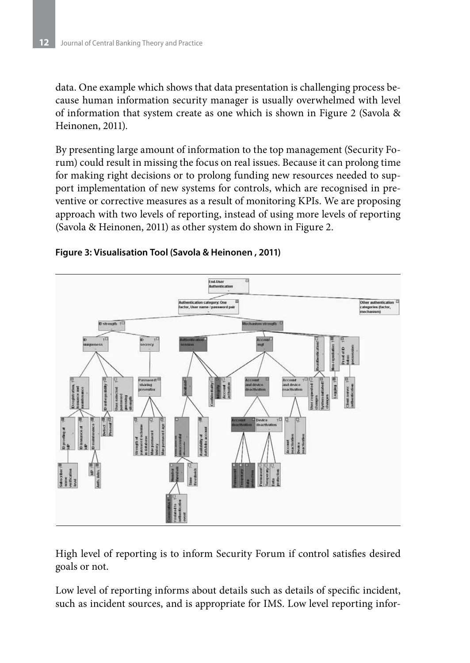data. One example which shows that data presentation is challenging process because human information security manager is usually overwhelmed with level of information that system create as one which is shown in Figure 2 (Savola & Heinonen, 2011).

By presenting large amount of information to the top management (Security Forum) could result in missing the focus on real issues. Because it can prolong time for making right decisions or to prolong funding new resources needed to support implementation of new systems for controls, which are recognised in preventive or corrective measures as a result of monitoring KPIs. We are proposing approach with two levels of reporting, instead of using more levels of reporting (Savola & Heinonen, 2011) as other system do shown in Figure 2.





High level of reporting is to inform Security Forum if control satisfies desired goals or not.

Low level of reporting informs about details such as details of specific incident, such as incident sources, and is appropriate for IMS. Low level reporting infor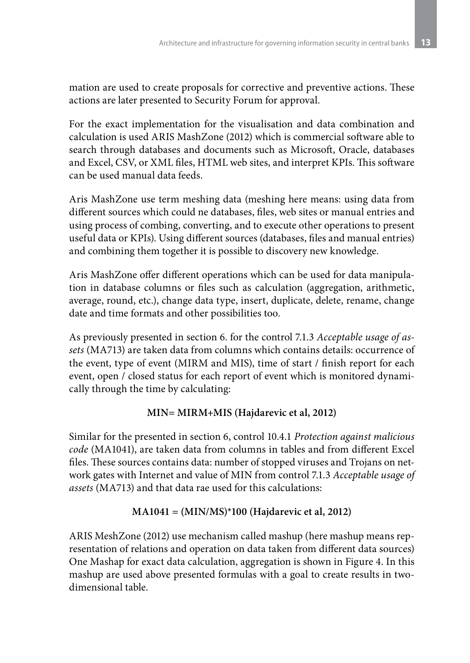mation are used to create proposals for corrective and preventive actions. These actions are later presented to Security Forum for approval.

For the exact implementation for the visualisation and data combination and calculation is used ARIS MashZone (2012) which is commercial software able to search through databases and documents such as Microsoft, Oracle, databases and Excel, CSV, or XML files, HTML web sites, and interpret KPIs. This software can be used manual data feeds.

Aris MashZone use term meshing data (meshing here means: using data from different sources which could ne databases, files, web sites or manual entries and using process of combing, converting, and to execute other operations to present useful data or KPIs). Using different sources (databases, files and manual entries) and combining them together it is possible to discovery new knowledge.

Aris MashZone offer different operations which can be used for data manipulation in database columns or files such as calculation (aggregation, arithmetic, average, round, etc.), change data type, insert, duplicate, delete, rename, change date and time formats and other possibilities too.

As previously presented in section 6. for the control 7.1.3 *Acceptable usage of assets* (MA713) are taken data from columns which contains details: occurrence of the event, type of event (MIRM and MIS), time of start / finish report for each event, open / closed status for each report of event which is monitored dynamically through the time by calculating:

# **MIN= MIRM+MIS (Hajdarevic et al, 2012)**

Similar for the presented in section 6, control 10.4.1 *Protection against malicious code* (MA1041), are taken data from columns in tables and from different Excel files. These sources contains data: number of stopped viruses and Trojans on network gates with Internet and value of MIN from control 7.1.3 *Acceptable usage of assets* (MA713) and that data rae used for this calculations:

### **MA1041 = (MIN/MS)\*100 (Hajdarevic et al, 2012)**

ARIS MeshZone (2012) use mechanism called mashup (here mashup means representation of relations and operation on data taken from different data sources) One Mashap for exact data calculation, aggregation is shown in Figure 4. In this mashup are used above presented formulas with a goal to create results in twodimensional table.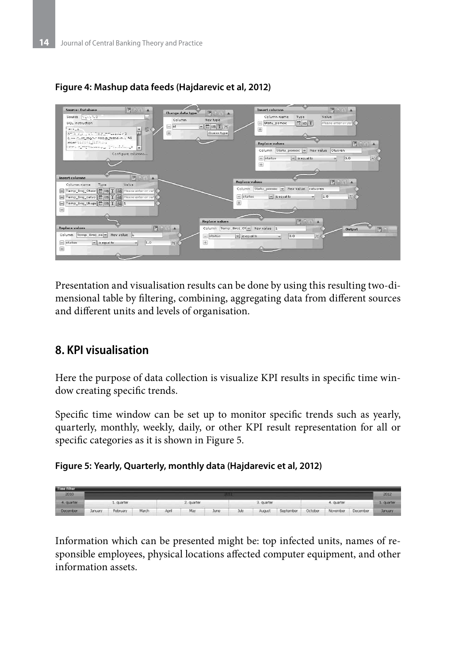

### **Figure 4: Mashup data feeds (Hajdarevic et al, 2012)**

Presentation and visualisation results can be done by using this resulting two-dimensional table by filtering, combining, aggregating data from different sources and different units and levels of organisation.

# **8. KPI visualisation**

Here the purpose of data collection is visualize KPI results in specific time window creating specific trends.

Specific time window can be set up to monitor specific trends such as yearly, quarterly, monthly, weekly, daily, or other KPI result representation for all or specific categories as it is shown in Figure 5.





Information which can be presented might be: top infected units, names of responsible employees, physical locations affected computer equipment, and other information assets.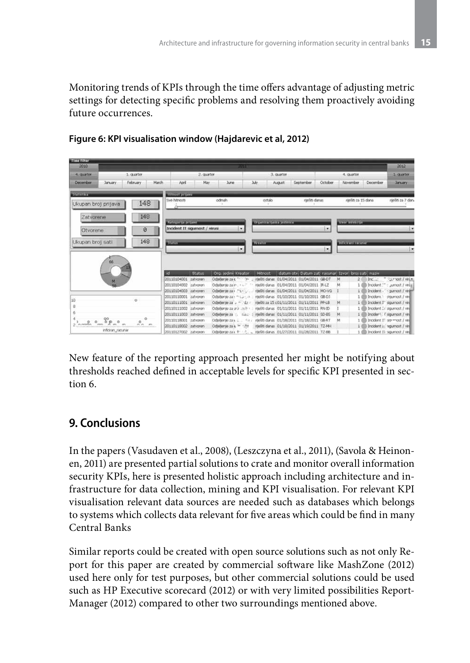Monitoring trends of KPIs through the time offers advantage of adjusting metric settings for detecting specific problems and resolving them proactively avoiding future occurrences.

| <b>Time filter</b><br>2010<br>POSS                             |                      |                                                    |                                   |                                                                       |                                                       |            |                      |          | 2012                               |
|----------------------------------------------------------------|----------------------|----------------------------------------------------|-----------------------------------|-----------------------------------------------------------------------|-------------------------------------------------------|------------|----------------------|----------|------------------------------------|
| 4. Quarter                                                     | 1. quarter           | 2. Quarter                                         |                                   | 3. quarter                                                            |                                                       | 4. quarter |                      |          | 1/oueton                           |
| December<br><b>January</b>                                     | February<br>March    | April                                              | May<br>$\lambda$ rie              | <b>July</b><br>August.                                                | September                                             | October    | November             | December | <b>January</b>                     |
| <b>Statuttive</b>                                              |                      | Hitnost pintos                                     |                                   |                                                                       |                                                       |            |                      |          |                                    |
| Ukupan broj prijava                                            | 148                  | Své hitnosti                                       | odmah                             | ostalo                                                                | ranšiti danas                                         |            | riješti za 15 dana   |          | raešti za 7 dan.                   |
| Zatvorene                                                      | 148                  |                                                    |                                   |                                                                       |                                                       |            |                      |          |                                    |
|                                                                |                      | Material anticre<br>Incident II sigurnost / virusi | ۰                                 | <b>District is the interior</b>                                       |                                                       | ×          | true intelecte       |          |                                    |
| Otvorene                                                       | ø                    |                                                    |                                   |                                                                       |                                                       |            |                      |          |                                    |
| Ukupan broj sati                                               | 148                  | <b>Pitture</b>                                     |                                   | <b>Breaking</b>                                                       |                                                       |            | Informational        |          |                                    |
|                                                                |                      |                                                    | ×.                                |                                                                       |                                                       | ۰          |                      |          | ×                                  |
| 66                                                             |                      |                                                    |                                   |                                                                       |                                                       |            |                      |          |                                    |
|                                                                |                      | iн<br><b>Status</b>                                | Org. jedini Kreater               | Hitnost                                                               | datum oty. Datum zati racunari Izvori broj sabi naziv |            |                      |          |                                    |
| M                                                              |                      | 20110104001 ratvoren                               |                                   | Odjeljenje za c * * * * * z nješiti danas 01/04/2011 01/04/2011 GB-DT |                                                       |            | M                    |          | 2 Incl.: "Furnost / virus          |
|                                                                |                      | 20110104002 zatvoren                               | Odiollerile za in                 |                                                                       | meliti danas 01/04/2011 01/04/2011 IR-LZ              |            | м                    |          | 1 Diricolant :- : Jumost / virtual |
|                                                                |                      | 20110104003 zatvoren                               | Odjeljenje za v Particular        |                                                                       | ritešiti danas 01/04/2011 01/04/2011 MO-VG            |            | 111                  |          | Incident - Cournost / viru         |
| 10 <sup>1</sup>                                                |                      | 20110110001 zatvoren                               | Odjuljenje za i misuki za iz      |                                                                       | riješiti danas 01/10/2011 01/10/2011 GB-DJ            |            | 16                   |          | Incident is sigurnost / viril      |
|                                                                |                      | 20110111001 zatvoren                               | Odieljenje za u miniša z          |                                                                       | riješiti za 15 c01/11/2011 01/11/2011 PP-LB           |            | M<br>1.1             |          | Incident I" sigurnost / vin        |
|                                                                |                      | 20110111002 zatvoren                               | Octohordo za urá "néh » .:        |                                                                       | riteliti danas 01/11/2011 01/11/2011 RN-ID            |            | 1.01                 |          | Incident : i sigurnost / vin       |
|                                                                |                      | 20110111003 zatvoren                               |                                   | Odiellenie za :: s.a.; : riješiti danas 01/11/2011 01/11/2011 SD-BS   |                                                       |            | M<br>11 <sup>6</sup> |          | Incident. I sigurnost / vin        |
| $\circ \circ \circ \circ$<br>$\circ$<br>$2.$ <i>nerron</i> ren | $\circ$<br>$n n$ $m$ | 20110118001 zatvoren                               |                                   | Odoljena za v 1. - 4 × / nješiti danas 01/18/2011 01/18/2011 GB-RT    |                                                       |            | M                    |          | Incident IT so - nost / viril      |
| inficiran racunar                                              |                      | 20110119002 zatvoren                               | Odiellenie za e <sup>2</sup> 1749 |                                                                       | riješiti danas 01/18/2011 01/19/2011 TZ-MH            |            | 1 <sup>6</sup>       |          | Incident i: squmost / viril        |
|                                                                |                      | 20110127002 zatvoren                               |                                   | Odoberge za's + 12. . riješiti danas 01/27/2011 01/28/2011 TZ-88      |                                                       |            |                      |          | Incident 11 squmost / viril        |

### **Figure 6: KPI visualisation window (Hajdarevic et al, 2012)**

New feature of the reporting approach presented her might be notifying about thresholds reached defined in acceptable levels for specific KPI presented in section 6.

# **9. Conclusions**

In the papers (Vasudaven et al., 2008), (Leszczyna et al., 2011), (Savola & Heinonen, 2011) are presented partial solutions to crate and monitor overall information security KPIs, here is presented holistic approach including architecture and infrastructure for data collection, mining and KPI visualisation. For relevant KPI visualisation relevant data sources are needed such as databases which belongs to systems which collects data relevant for five areas which could be find in many Central Banks

Similar reports could be created with open source solutions such as not only Report for this paper are created by commercial software like MashZone (2012) used here only for test purposes, but other commercial solutions could be used such as HP Executive scorecard (2012) or with very limited possibilities Report-Manager (2012) compared to other two surroundings mentioned above.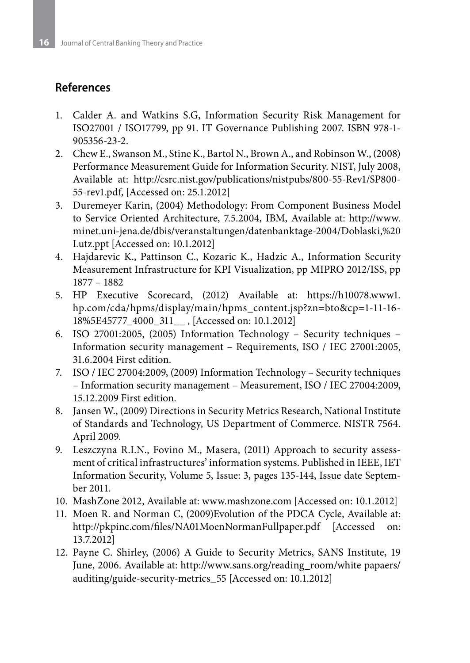# **References**

- 1. Calder A. and Watkins S.G, Information Security Risk Management for ISO27001 / ISO17799, pp 91. IT Governance Publishing 2007. ISBN 978-1- 905356-23-2.
- 2. Chew E., Swanson M., Stine K., Bartol N., Brown A., and Robinson W., (2008) Performance Measurement Guide for Information Security. NIST, July 2008, Available at: http://csrc.nist.gov/publications/nistpubs/800-55-Rev1/SP800- 55-rev1.pdf, [Accessed on: 25.1.2012]
- 3. Duremeyer Karin, (2004) Methodology: From Component Business Model to Service Oriented Architecture, 7.5.2004, IBM, Available at: http://www. minet.uni-jena.de/dbis/veranstaltungen/datenbanktage-2004/Doblaski,%20 Lutz.ppt [Accessed on: 10.1.2012]
- 4. Hajdarevic K., Pattinson C., Kozaric K., Hadzic A., Information Security Measurement Infrastructure for KPI Visualization, pp MIPRO 2012/ISS, pp 1877 – 1882
- 5. HP Executive Scorecard, (2012) Available at: https://h10078.www1. hp.com/cda/hpms/display/main/hpms\_content.jsp?zn=bto&cp=1-11-16- 18%5E45777\_4000\_311\_\_ , [Accessed on: 10.1.2012]
- 6. ISO 27001:2005, (2005) Information Technology Security techniques Information security management – Requirements, ISO / IEC 27001:2005, 31.6.2004 First edition.
- 7. ISO / IEC 27004:2009, (2009) Information Technology Security techniques – Information security management – Measurement, ISO / IEC 27004:2009, 15.12.2009 First edition.
- 8. Jansen W., (2009) Directions in Security Metrics Research, National Institute of Standards and Technology, US Department of Commerce. NISTR 7564. April 2009.
- 9. Leszczyna R.I.N., Fovino M., Masera, (2011) Approach to security assessment of critical infrastructures' information systems. Published in IEEE, IET Information Security, Volume 5, Issue: 3, pages 135-144, Issue date September 2011.
- 10. MashZone 2012, Available at: www.mashzone.com [Accessed on: 10.1.2012]
- 11. Moen R. and Norman C, (2009)Evolution of the PDCA Cycle, Available at: http://pkpinc.com/files/NA01MoenNormanFullpaper.pdf [Accessed on: 13.7.2012]
- 12. Payne C. Shirley, (2006) A Guide to Security Metrics, SANS Institute, 19 June, 2006. Available at: http://www.sans.org/reading\_room/white papaers/ auditing/guide-security-metrics\_55 [Accessed on: 10.1.2012]